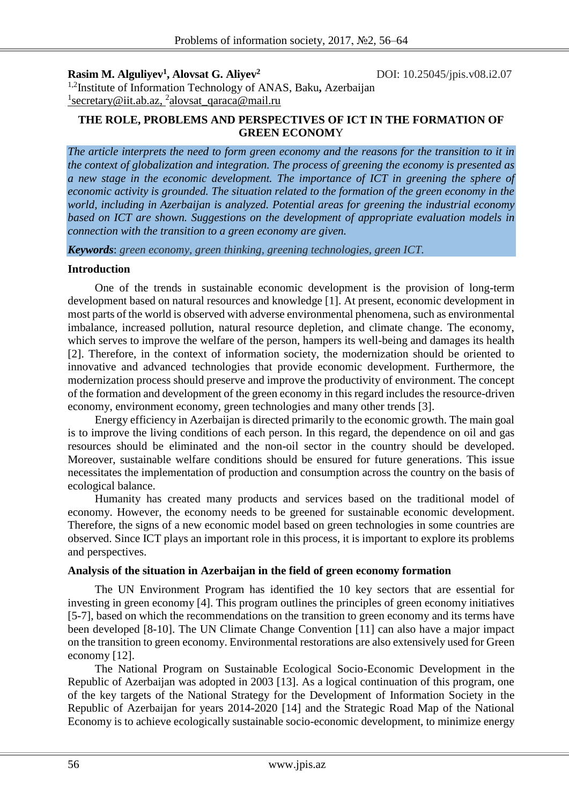**Rasim M. Alguliyev<sup>1</sup>**

**, Alovsat G. Aliyev<sup>2</sup>**DOI: 10.25045/jpis.v08.i2.07

1,2Institute of Information Technology of ANAS, Baku**,** Azerbaijan <sup>1</sup>[secretary@iit.ab.az,](mailto:1rasim@science.az) <sup>2</sup>[alovsat\\_qaraca@mail.ru](mailto:alovsat_qaraca@mail.ru)

# **THE ROLE, PROBLEMS AND PERSPECTIVES OF ICT IN THE FORMATION OF GREEN ECONOM**Y

*The article interprets the need to form green economy and the reasons for the transition to it in the context of globalization and integration. The process of greening the economy is presented as a new stage in the economic development. The importance of ICT in greening the sphere of economic activity is grounded. The situation related to the formation of the green economy in the world, including in Azerbaijan is analyzed. Potential areas for greening the industrial economy based on ICT are shown. Suggestions on the development of appropriate evaluation models in connection with the transition to a green economy are given.*

*Keywords*: *green economy, green thinking, greening technologies, green ICT.*

## **Introduction**

One of the trends in sustainable economic development is the provision of long-term development based on natural resources and knowledge [1]. At present, economic development in most parts of the world is observed with adverse environmental phenomena, such as environmental imbalance, increased pollution, natural resource depletion, and climate change. The economy, which serves to improve the welfare of the person, hampers its well-being and damages its health [2]. Therefore, in the context of information society, the modernization should be oriented to innovative and advanced technologies that provide economic development. Furthermore, the modernization process should preserve and improve the productivity of environment. The concept of the formation and development of the green economy in this regard includes the resource-driven economy, environment economy, green technologies and many other trends [3].

Energy efficiency in Azerbaijan is directed primarily to the economic growth. The main goal is to improve the living conditions of each person. In this regard, the dependence on oil and gas resources should be eliminated and the non-oil sector in the country should be developed. Moreover, sustainable welfare conditions should be ensured for future generations. This issue necessitates the implementation of production and consumption across the country on the basis of ecological balance.

Humanity has created many products and services based on the traditional model of economy. However, the economy needs to be greened for sustainable economic development. Therefore, the signs of a new economic model based on green technologies in some countries are observed. Since ICT plays an important role in this process, it is important to explore its problems and perspectives.

#### **Analysis of the situation in Azerbaijan in the field of green economy formation**

The UN Environment Program has identified the 10 key sectors that are essential for investing in green economy [4]. This program outlines the principles of green economy initiatives [5-7], based on which the recommendations on the transition to green economy and its terms have been developed [8-10]. The UN Climate Change Convention [11] can also have a major impact on the transition to green economy. Environmental restorations are also extensively used for Green economy [12].

The National Program on Sustainable Ecological Socio-Economic Development in the Republic of Azerbaijan was adopted in 2003 [13]. As a logical continuation of this program, one of the key targets of the National Strategy for the Development of Information Society in the Republic of Azerbaijan for years 2014-2020 [14] and the Strategic Road Map of the National Economy is to achieve ecologically sustainable socio-economic development, to minimize energy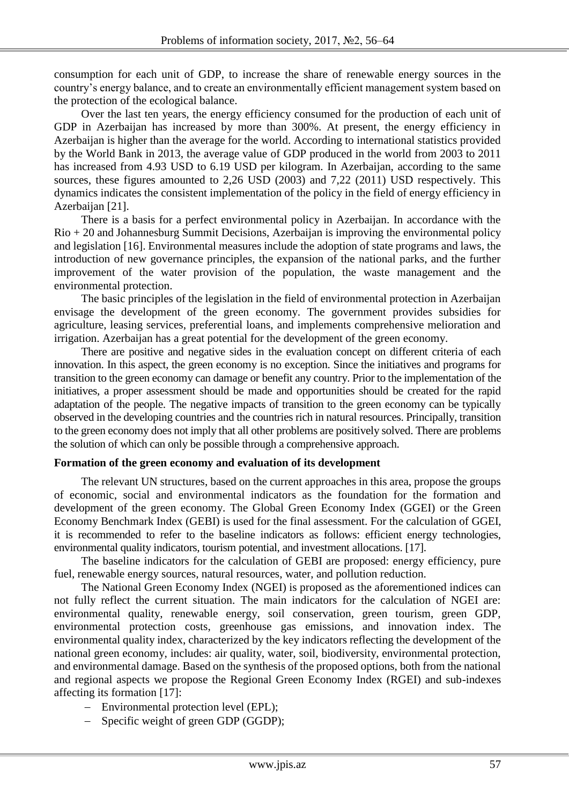consumption for each unit of GDP, to increase the share of renewable energy sources in the country's energy balance, and to create an environmentally efficient management system based on the protection of the ecological balance.

Over the last ten years, the energy efficiency consumed for the production of each unit of GDP in Azerbaijan has increased by more than 300%. At present, the energy efficiency in Azerbaijan is higher than the average for the world. According to international statistics provided by the World Bank in 2013, the average value of GDP produced in the world from 2003 to 2011 has increased from 4.93 USD to 6.19 USD per kilogram. In Azerbaijan, according to the same sources, these figures amounted to 2,26 USD (2003) and 7,22 (2011) USD respectively. This dynamics indicates the consistent implementation of the policy in the field of energy efficiency in Azerbaijan [21].

There is a basis for a perfect environmental policy in Azerbaijan. In accordance with the  $\text{Rio} + 20$  and Johannesburg Summit Decisions, Azerbaijan is improving the environmental policy and legislation [16]. Environmental measures include the adoption of state programs and laws, the introduction of new governance principles, the expansion of the national parks, and the further improvement of the water provision of the population, the waste management and the environmental protection.

The basic principles of the legislation in the field of environmental protection in Azerbaijan envisage the development of the green economy. The government provides subsidies for agriculture, leasing services, preferential loans, and implements comprehensive melioration and irrigation. Azerbaijan has a great potential for the development of the green economy.

There are positive and negative sides in the evaluation concept on different criteria of each innovation. In this aspect, the green economy is no exception. Since the initiatives and programs for transition to the green economy can damage or benefit any country. Prior to the implementation of the initiatives, a proper assessment should be made and opportunities should be created for the rapid adaptation of the people. The negative impacts of transition to the green economy can be typically observed in the developing countries and the countries rich in natural resources. Principally, transition to the green economy does not imply that all other problems are positively solved. There are problems the solution of which can only be possible through a comprehensive approach.

#### **Formation of the green economy and evaluation of its development**

The relevant UN structures, based on the current approaches in this area, propose the groups of economic, social and environmental indicators as the foundation for the formation and development of the green economy. The Global Green Economy Index (GGEI) or the Green Economy Benchmark Index (GEBI) is used for the final assessment. For the calculation of GGEI, it is recommended to refer to the baseline indicators as follows: efficient energy technologies, environmental quality indicators, tourism potential, and investment allocations. [17].

The baseline indicators for the calculation of GEBI are proposed: energy efficiency, pure fuel, renewable energy sources, natural resources, water, and pollution reduction.

The National Green Economy Index (NGEI) is proposed as the aforementioned indices can not fully reflect the current situation. The main indicators for the calculation of NGEI are: environmental quality, renewable energy, soil conservation, green tourism, green GDP, environmental protection costs, greenhouse gas emissions, and innovation index. The environmental quality index, characterized by the key indicators reflecting the development of the national green economy, includes: air quality, water, soil, biodiversity, environmental protection, and environmental damage. Based on the synthesis of the proposed options, both from the national and regional aspects we propose the Regional Green Economy Index (RGEI) and sub-indexes affecting its formation [17]:

- Environmental protection level (EPL):
- Specific weight of green GDP (GGDP);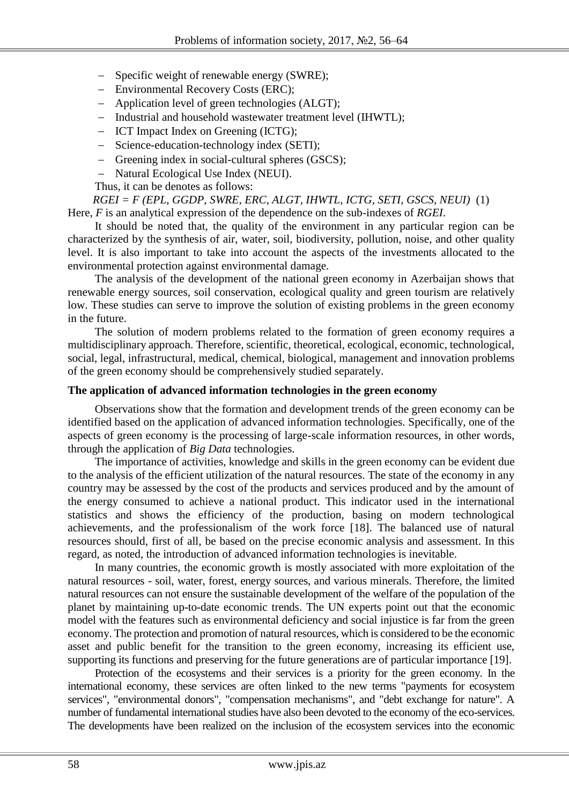- Specific weight of renewable energy (SWRE);
- Environmental Recovery Costs (ERC);
- Application level of green technologies (ALGT);
- Industrial and household wastewater treatment level (IHWTL);
- ICT Impact Index on Greening (ICTG);
- Science-education-technology index (SETI);
- Greening index in social-cultural spheres (GSCS);
- Natural Ecological Use Index (NEUI).

Thus, it can be denotes as follows:

*RGEI = F (EPL, GGDP, SWRE, ERC, ALGT, IHWTL, ICTG, SETI, GSCS, NEUI)* (1) Here, *F* is an analytical expression of the dependence on the sub-indexes of *RGEI*.

It should be noted that, the quality of the environment in any particular region can be characterized by the synthesis of air, water, soil, biodiversity, pollution, noise, and other quality level. It is also important to take into account the aspects of the investments allocated to the environmental protection against environmental damage.

The analysis of the development of the national green economy in Azerbaijan shows that renewable energy sources, soil conservation, ecological quality and green tourism are relatively low. These studies can serve to improve the solution of existing problems in the green economy in the future.

The solution of modern problems related to the formation of green economy requires a multidisciplinary approach. Therefore, scientific, theoretical, ecological, economic, technological, social, legal, infrastructural, medical, chemical, biological, management and innovation problems of the green economy should be comprehensively studied separately.

## **The application of advanced information technologies in the green economy**

Observations show that the formation and development trends of the green economy can be identified based on the application of advanced information technologies. Specifically, one of the aspects of green economy is the processing of large-scale information resources, in other words, through the application of *Big Data* technologies.

The importance of activities, knowledge and skills in the green economy can be evident due to the analysis of the efficient utilization of the natural resources. The state of the economy in any country may be assessed by the cost of the products and services produced and by the amount of the energy consumed to achieve a national product. This indicator used in the international statistics and shows the efficiency of the production, basing on modern technological achievements, and the professionalism of the work force [18]. The balanced use of natural resources should, first of all, be based on the precise economic analysis and assessment. In this regard, as noted, the introduction of advanced information technologies is inevitable.

In many countries, the economic growth is mostly associated with more exploitation of the natural resources - soil, water, forest, energy sources, and various minerals. Therefore, the limited natural resources can not ensure the sustainable development of the welfare of the population of the planet by maintaining up-to-date economic trends. The UN experts point out that the economic model with the features such as environmental deficiency and social injustice is far from the green economy. The protection and promotion of natural resources, which is considered to be the economic asset and public benefit for the transition to the green economy, increasing its efficient use, supporting its functions and preserving for the future generations are of particular importance [19].

Protection of the ecosystems and their services is a priority for the green economy. In the international economy, these services are often linked to the new terms "payments for ecosystem services", "environmental donors", "compensation mechanisms", and "debt exchange for nature". A number of fundamental international studies have also been devoted to the economy of the eco-services. The developments have been realized on the inclusion of the ecosystem services into the economic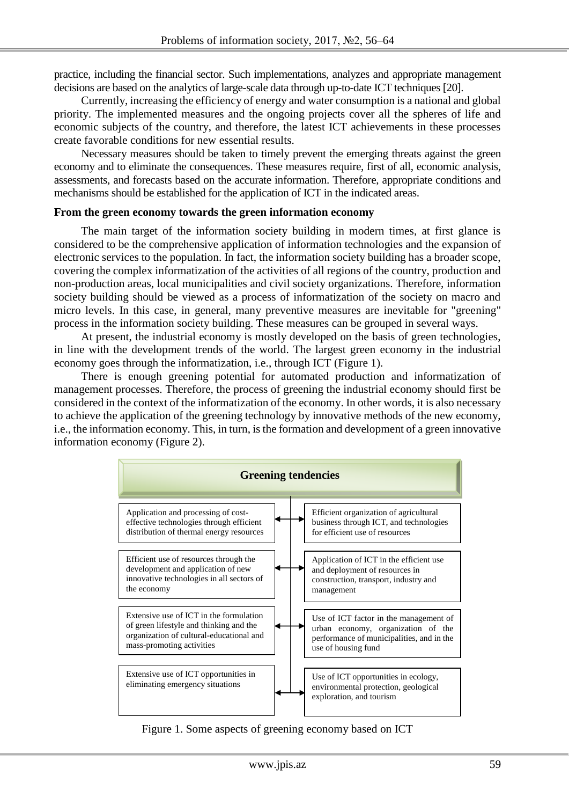practice, including the financial sector. Such implementations, analyzes and appropriate management decisions are based on the analytics of large-scale data through up-to-date ICT techniques [20].

Currently, increasing the efficiency of energy and water consumption is a national and global priority. The implemented measures and the ongoing projects cover all the spheres of life and economic subjects of the country, and therefore, the latest ICT achievements in these processes create favorable conditions for new essential results.

Necessary measures should be taken to timely prevent the emerging threats against the green economy and to eliminate the consequences. These measures require, first of all, economic analysis, assessments, and forecasts based on the accurate information. Therefore, appropriate conditions and mechanisms should be established for the application of ICT in the indicated areas.

#### **From the green economy towards the green information economy**

The main target of the information society building in modern times, at first glance is considered to be the comprehensive application of information technologies and the expansion of electronic services to the population. In fact, the information society building has a broader scope, covering the complex informatization of the activities of all regions of the country, production and non-production areas, local municipalities and civil society organizations. Therefore, information society building should be viewed as a process of informatization of the society on macro and micro levels. In this case, in general, many preventive measures are inevitable for "greening" process in the information society building. These measures can be grouped in several ways.

At present, the industrial economy is mostly developed on the basis of green technologies, in line with the development trends of the world. The largest green economy in the industrial economy goes through the informatization, i.e., through ICT (Figure 1).

There is enough greening potential for automated production and informatization of management processes. Therefore, the process of greening the industrial economy should first be considered in the context of the informatization of the economy. In other words, it is also necessary to achieve the application of the greening technology by innovative methods of the new economy, i.e., the information economy. This, in turn, is the formation and development of a green innovative information economy (Figure 2).



Figure 1. Some aspects of greening economy based on ICT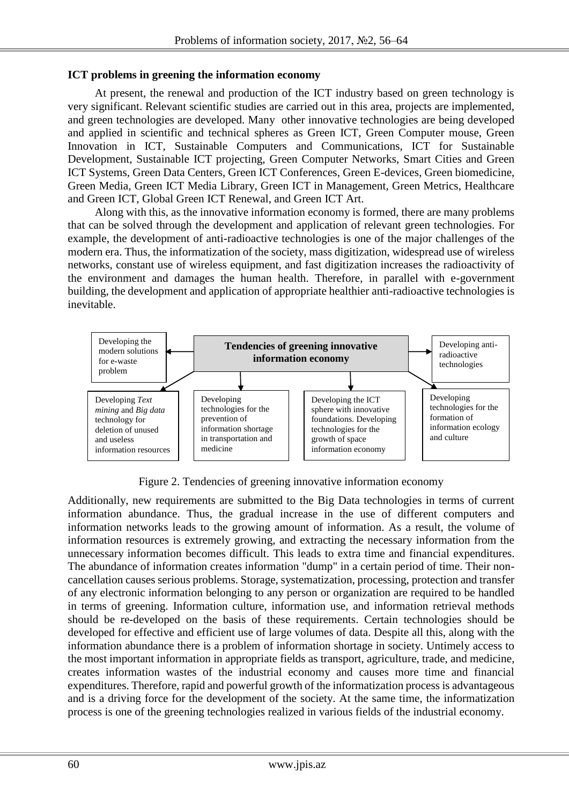# **ICT problems in greening the information economy**

At present, the renewal and production of the ICT industry based on green technology is very significant. Relevant scientific studies are carried out in this area, projects are implemented, and green technologies are developed. Many other innovative technologies are being developed and applied in scientific and technical spheres as Green ICT, Green Computer mouse, Green Innovation in ICT, Sustainable Computers and Communications, ICT for Sustainable Development, Sustainable ICT projecting, Green Computer Networks, Smart Cities and Green ICT Systems, Green Data Centers, Green ICT Conferences, Green E-devices, Green biomedicine, Green Media, Green ICT Media Library, Green ICT in Management, Green Metrics, Healthcare and Green ICT, Global Green ICT Renewal, and Green ICT Art.

Along with this, as the innovative information economy is formed, there are many problems that can be solved through the development and application of relevant green technologies. For example, the development of anti-radioactive technologies is one of the major challenges of the modern era. Thus, the informatization of the society, mass digitization, widespread use of wireless networks, constant use of wireless equipment, and fast digitization increases the radioactivity of the environment and damages the human health. Therefore, in parallel with e-government building, the development and application of appropriate healthier anti-radioactive technologies is inevitable.



Figure 2. Tendencies of greening innovative information economy

Additionally, new requirements are submitted to the Big Data technologies in terms of current information abundance. Thus, the gradual increase in the use of different computers and information networks leads to the growing amount of information. As a result, the volume of information resources is extremely growing, and extracting the necessary information from the unnecessary information becomes difficult. This leads to extra time and financial expenditures. The abundance of information creates information "dump" in a certain period of time. Their noncancellation causes serious problems. Storage, systematization, processing, protection and transfer of any electronic information belonging to any person or organization are required to be handled in terms of greening. Information culture, information use, and information retrieval methods should be re-developed on the basis of these requirements. Certain technologies should be developed for effective and efficient use of large volumes of data. Despite all this, along with the information abundance there is a problem of information shortage in society. Untimely access to the most important information in appropriate fields as transport, agriculture, trade, and medicine, creates information wastes of the industrial economy and causes more time and financial expenditures. Therefore, rapid and powerful growth of the informatization process is advantageous and is a driving force for the development of the society. At the same time, the informatization process is one of the greening technologies realized in various fields of the industrial economy.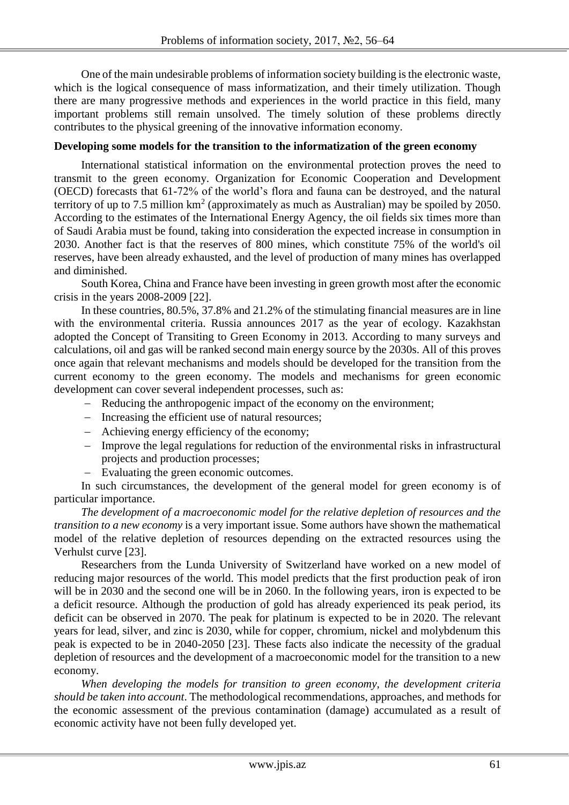One of the main undesirable problems of information society building is the electronic waste, which is the logical consequence of mass informatization, and their timely utilization. Though there are many progressive methods and experiences in the world practice in this field, many important problems still remain unsolved. The timely solution of these problems directly contributes to the physical greening of the innovative information economy.

### **Developing some models for the transition to the informatization of the green economy**

International statistical information on the environmental protection proves the need to transmit to the green economy. Organization for Economic Cooperation and Development (OECD) forecasts that 61-72% of the world's flora and fauna can be destroyed, and the natural territory of up to 7.5 million  $km^2$  (approximately as much as Australian) may be spoiled by 2050. According to the estimates of the International Energy Agency, the oil fields six times more than of Saudi Arabia must be found, taking into consideration the expected increase in consumption in 2030. Another fact is that the reserves of 800 mines, which constitute 75% of the world's oil reserves, have been already exhausted, and the level of production of many mines has overlapped and diminished.

South Korea, China and France have been investing in green growth most after the economic crisis in the years 2008-2009 [22].

In these countries, 80.5%, 37.8% and 21.2% of the stimulating financial measures are in line with the environmental criteria. Russia announces 2017 as the year of ecology. Kazakhstan adopted the Concept of Transiting to Green Economy in 2013. According to many surveys and calculations, oil and gas will be ranked second main energy source by the 2030s. All of this proves once again that relevant mechanisms and models should be developed for the transition from the current economy to the green economy. The models and mechanisms for green economic development can cover several independent processes, such as:

- Reducing the anthropogenic impact of the economy on the environment;
- Increasing the efficient use of natural resources;
- Achieving energy efficiency of the economy;
- Improve the legal regulations for reduction of the environmental risks in infrastructural projects and production processes;
- Evaluating the green economic outcomes.

In such circumstances, the development of the general model for green economy is of particular importance.

*The development of a macroeconomic model for the relative depletion of resources and the transition to a new economy* is a very important issue. Some authors have shown the mathematical model of the relative depletion of resources depending on the extracted resources using the Verhulst curve [23].

Researchers from the Lunda University of Switzerland have worked on a new model of reducing major resources of the world. This model predicts that the first production peak of iron will be in 2030 and the second one will be in 2060. In the following years, iron is expected to be a deficit resource. Although the production of gold has already experienced its peak period, its deficit can be observed in 2070. The peak for platinum is expected to be in 2020. The relevant years for lead, silver, and zinc is 2030, while for copper, chromium, nickel and molybdenum this peak is expected to be in 2040-2050 [23]. These facts also indicate the necessity of the gradual depletion of resources and the development of a macroeconomic model for the transition to a new economy.

*When developing the models for transition to green economy, the development criteria should be taken into account*. The methodological recommendations, approaches, and methods for the economic assessment of the previous contamination (damage) accumulated as a result of economic activity have not been fully developed yet.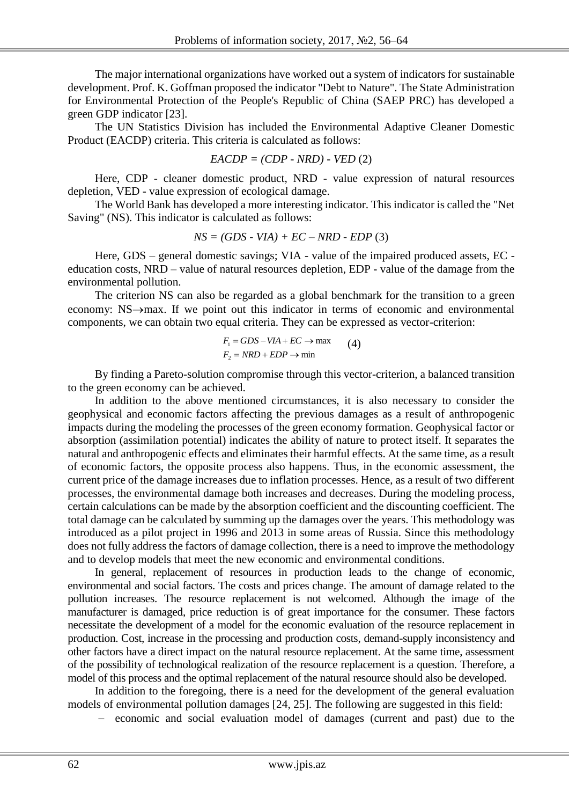The major international organizations have worked out a system of indicators for sustainable development. Prof. K. Goffman proposed the indicator "Debt to Nature". The State Administration for Environmental Protection of the People's Republic of China (SAEP PRC) has developed a green GDP indicator [23].

The UN Statistics Division has included the Environmental Adaptive Cleaner Domestic Product (EACDP) criteria. This criteria is calculated as follows:

$$
EACDP = (CDP - NRD) - VED (2)
$$

Here, CDP - cleaner domestic product, NRD - value expression of natural resources depletion, VED - value expression of ecological damage.

The World Bank has developed a more interesting indicator. This indicator is called the "Net Saving" (NS). This indicator is calculated as follows:

$$
NS = (GDS - VIA) + EC - NRD - EDP (3)
$$

Here, GDS – general domestic savings; VIA - value of the impaired produced assets, EC education costs, NRD – value of natural resources depletion, EDP - value of the damage from the environmental pollution.

The criterion NS can also be regarded as a global benchmark for the transition to a green economy:  $NS \rightarrow max$ . If we point out this indicator in terms of economic and environmental components, we can obtain two equal criteria. They can be expressed as vector-criterion:

$$
F_1 = GDS - VIA + EC \rightarrow \max \qquad (4)
$$
  

$$
F_2 = NRD + EDP \rightarrow \min
$$

By finding a Pareto-solution compromise through this vector-criterion, a balanced transition to the green economy can be achieved.

In addition to the above mentioned circumstances, it is also necessary to consider the geophysical and economic factors affecting the previous damages as a result of anthropogenic impacts during the modeling the processes of the green economy formation. Geophysical factor or absorption (assimilation potential) indicates the ability of nature to protect itself. It separates the natural and anthropogenic effects and eliminates their harmful effects. At the same time, as a result of economic factors, the opposite process also happens. Thus, in the economic assessment, the current price of the damage increases due to inflation processes. Hence, as a result of two different processes, the environmental damage both increases and decreases. During the modeling process, certain calculations can be made by the absorption coefficient and the discounting coefficient. The total damage can be calculated by summing up the damages over the years. This methodology was introduced as a pilot project in 1996 and 2013 in some areas of Russia. Since this methodology does not fully address the factors of damage collection, there is a need to improve the methodology and to develop models that meet the new economic and environmental conditions.

In general, replacement of resources in production leads to the change of economic, environmental and social factors. The costs and prices change. The amount of damage related to the pollution increases. The resource replacement is not welcomed. Although the image of the manufacturer is damaged, price reduction is of great importance for the consumer. These factors necessitate the development of a model for the economic evaluation of the resource replacement in production. Cost, increase in the processing and production costs, demand-supply inconsistency and other factors have a direct impact on the natural resource replacement. At the same time, assessment of the possibility of technological realization of the resource replacement is a question. Therefore, a model of this process and the optimal replacement of the natural resource should also be developed.

In addition to the foregoing, there is a need for the development of the general evaluation models of environmental pollution damages [24, 25]. The following are suggested in this field:

- economic and social evaluation model of damages (current and past) due to the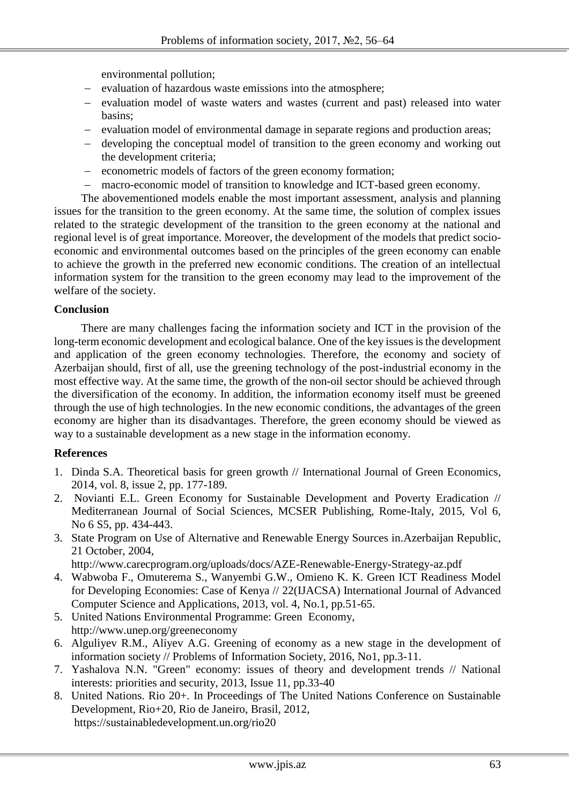environmental pollution;

- evaluation of hazardous waste emissions into the atmosphere;
- evaluation model of waste waters and wastes (current and past) released into water basins;
- evaluation model of environmental damage in separate regions and production areas;
- developing the conceptual model of transition to the green economy and working out the development criteria;
- econometric models of factors of the green economy formation;
- macro-economic model of transition to knowledge and ICT-based green economy.

The abovementioned models enable the most important assessment, analysis and planning issues for the transition to the green economy. At the same time, the solution of complex issues related to the strategic development of the transition to the green economy at the national and regional level is of great importance. Moreover, the development of the models that predict socioeconomic and environmental outcomes based on the principles of the green economy can enable to achieve the growth in the preferred new economic conditions. The creation of an intellectual information system for the transition to the green economy may lead to the improvement of the welfare of the society.

## **Conclusion**

There are many challenges facing the information society and ICT in the provision of the long-term economic development and ecological balance. One of the key issues is the development and application of the green economy technologies. Therefore, the economy and society of Azerbaijan should, first of all, use the greening technology of the post-industrial economy in the most effective way. At the same time, the growth of the non-oil sector should be achieved through the diversification of the economy. In addition, the information economy itself must be greened through the use of high technologies. In the new economic conditions, the advantages of the green economy are higher than its disadvantages. Therefore, the green economy should be viewed as way to a sustainable development as a new stage in the information economy.

#### **References**

- 1. [Dinda](http://econpapers.repec.org/RAS/pdi250.htm) S.A. Theoretical basis for green growth // [International Journal of Green Economics,](http://econpapers.repec.org/article/idsijgrec/) 2014, vol. 8, issue 2, pp. 177-189.
- 2. Novianti E.L. Green Economy for Sustainable Development and Poverty Eradication // Mediterranean Journal of Social Sciences, MCSER Publishing, Rome-Italy, 2015, Vol 6, No 6 S5, pp. 434-443.
- 3. State Program on Use of Alternative and Renewable Energy Sources in.Azerbaijan Republic, 21 October, 2004,

http://www.carecprogram.org/uploads/docs/AZE-Renewable-Energy-Strategy-az.pdf

- 4. Wabwoba F., Omuterema S., Wanyembi G.W., Omieno K. K. Green ICT Readiness Model for Developing Economies: Case of Kenya // 22(IJACSA) International Journal of Advanced Computer Science and Applications, 2013, vol. 4, No.1, pp.51-65.
- 5. United Nations Environmental Programme: Green Economy, <http://www.unep.org/greeneconomy>
- 6. Alguliyev R.M., Aliyev A.G. Greening of economy as a new stage in the development of information society // Problems of Information Society, 2016, No1, pp.3-11.
- 7. Yashalova N.N. "Green" economy: issues of theory and development trends // National interests: priorities and security, 2013, Issue 11, pp.33-40
- 8. United Nations. Rio 20+. In Proceedings of The United Nations Conference on Sustainable Development, Rio+20, Rio de Janeiro, Brasil, 2012, https://sustainabledevelopment.un.org/rio20